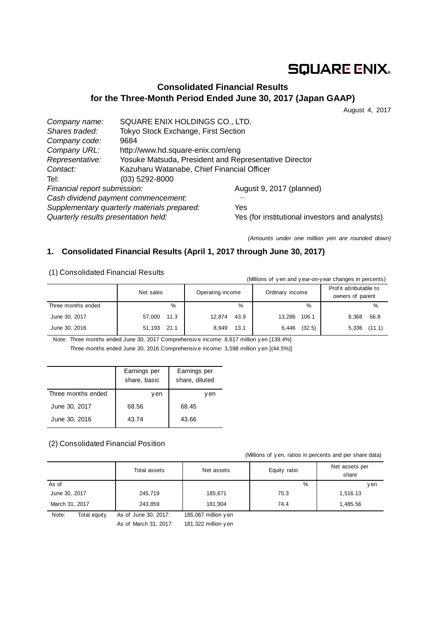# **SQUARE ENIX.**

# **Consolidated Financial Results for the Three-Month Period Ended June 30, 2017 (Japan GAAP)**

August 4, 2017

| SQUARE ENIX HOLDINGS CO., LTD.                         |                                                                                                                                                            |  |
|--------------------------------------------------------|------------------------------------------------------------------------------------------------------------------------------------------------------------|--|
| Tokyo Stock Exchange, First Section                    |                                                                                                                                                            |  |
| 9684                                                   |                                                                                                                                                            |  |
| http://www.hd.square-enix.com/eng                      |                                                                                                                                                            |  |
| Yosuke Matsuda, President and Representative Director  |                                                                                                                                                            |  |
| Kazuharu Watanabe, Chief Financial Officer<br>Contact: |                                                                                                                                                            |  |
| $(03)$ 5292-8000                                       |                                                                                                                                                            |  |
|                                                        | August 9, 2017 (planned)                                                                                                                                   |  |
|                                                        |                                                                                                                                                            |  |
|                                                        | Yes                                                                                                                                                        |  |
|                                                        | Yes (for institutional investors and analysts)                                                                                                             |  |
|                                                        | Financial report submission:<br>Cash dividend payment commencement:<br>Supplementary quarterly materials prepared:<br>Quarterly results presentation held: |  |

*(Amounts under one million yen are rounded down)*

### **1. Consolidated Financial Results (April 1, 2017 through June 30, 2017)**

| (1) Consolidated Financial Results<br>(Millions of yen and year-on-year changes in percents)                                                   |                |                |                 |                 |  |  |  |
|------------------------------------------------------------------------------------------------------------------------------------------------|----------------|----------------|-----------------|-----------------|--|--|--|
| Prof it attributable to<br>Operating income<br>Net sales<br>Ordinary income<br>owners of parent                                                |                |                |                 |                 |  |  |  |
| Three months ended                                                                                                                             | $\%$           | %              | %               | %               |  |  |  |
| June 30, 2017                                                                                                                                  | 57,000<br>11.3 | 43.9<br>12.874 | 13,286<br>106.1 | 56.8<br>8,368   |  |  |  |
| June 30, 2016                                                                                                                                  | 51,193<br>21.1 | 13.1<br>8,949  | (32.5)<br>6,446 | (11.1)<br>5,336 |  |  |  |
| Note: Three months ended June 30, 2017 Comprehensive income: 8,617 million y en [139.4%]<br>اللان ممعم النادي المتحدث المقطع المستحدث المستحدث |                |                |                 |                 |  |  |  |

Note: 1, 2016 1, 193 21.1 8,949 13.1 6,44<br>Three months ended June 30, 2017 Comprehensive income: 8,617 million y en [139.4%]<br>Three months ended June 30, 2016 Comprehensive income: 3,598 million y en [(44.5%)]

|                    | Earnings per<br>share, basic | Earnings per<br>share, diluted |
|--------------------|------------------------------|--------------------------------|
| Three months ended | v en                         | v en                           |
| June 30, 2017      | 68.56                        | 68.45                          |
| June 30, 2016      | 43.74                        | 43.66                          |

#### (2) Consolidated Financial Position

(Millions of y en, ratios in percents and per share data)

| $\sqrt{ }$<br>(Millions of yen, ratios in percents and per share data) |              |                                                                                                                                                                                                                                                                                                                                                                                                     |                      |              |                         |
|------------------------------------------------------------------------|--------------|-----------------------------------------------------------------------------------------------------------------------------------------------------------------------------------------------------------------------------------------------------------------------------------------------------------------------------------------------------------------------------------------------------|----------------------|--------------|-------------------------|
| Total assets<br>Net assets                                             |              |                                                                                                                                                                                                                                                                                                                                                                                                     |                      | Equity ratio | Net assets per<br>share |
| As of                                                                  |              |                                                                                                                                                                                                                                                                                                                                                                                                     |                      | %            | y en                    |
| June 30, 2017                                                          |              | 245,719                                                                                                                                                                                                                                                                                                                                                                                             | 185,671              | 75.3         | 1,516.13                |
| March 31, 2017                                                         |              | 243,859                                                                                                                                                                                                                                                                                                                                                                                             | 181.904              | 74.4         | 1,485.56                |
| Note:                                                                  | Total equity | As of June 30, 2017:                                                                                                                                                                                                                                                                                                                                                                                | 185,067 million y en |              |                         |
|                                                                        |              | $\ddot{\phantom{1}}$ $\ddot{\phantom{1}}$ $\ddot{\phantom{1}}$ $\ddot{\phantom{1}}$ $\ddot{\phantom{1}}$ $\ddot{\phantom{1}}$ $\ddot{\phantom{1}}$ $\ddot{\phantom{1}}$ $\ddot{\phantom{1}}$ $\ddot{\phantom{1}}$ $\ddot{\phantom{1}}$ $\ddot{\phantom{1}}$ $\ddot{\phantom{1}}$ $\ddot{\phantom{1}}$ $\ddot{\phantom{1}}$ $\ddot{\phantom{1}}$ $\ddot{\phantom{1}}$ $\ddot{\phantom{1}}$ $\ddot{\$ |                      |              |                         |

As of June 30, 2017: 185,067 million y en<br>As of March 31, 2017: 181,322 million y en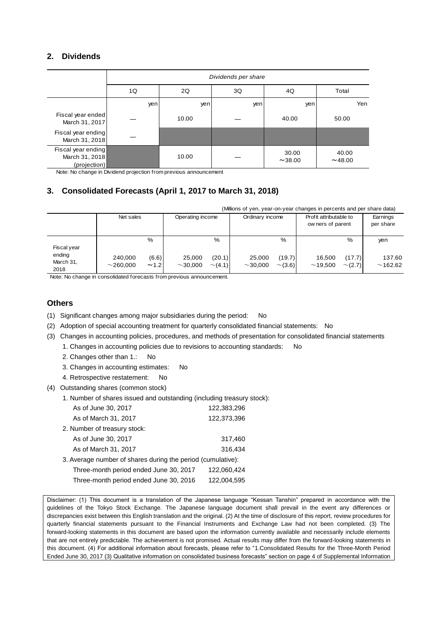#### **2. Dividends**

|                                                      |     | Dividends per share     |     |                 |                  |  |
|------------------------------------------------------|-----|-------------------------|-----|-----------------|------------------|--|
|                                                      | 1Q  | 2Q<br>3Q<br>4Q<br>Total |     |                 |                  |  |
|                                                      | yen | yen                     | yen | yen             | Yen              |  |
| Fiscal year ended<br>March 31, 2017                  |     | 10.00                   |     | 40.00           | 50.00            |  |
| Fiscal year ending<br>March 31, 2018                 |     |                         |     |                 |                  |  |
| Fiscal year ending<br>March 31, 2018<br>(projection) |     | 10.00                   |     | 30.00<br>~14.00 | 40.00<br>~148.00 |  |

Note: No change in Dividend projection from previous announcement

### **3. Consolidated Forecasts (April 1, 2017 to March 31, 2018)**

| . .<br>(Millions of yen, year-on-year changes in percents and per share data) |                           |               |                         |                        |                         |                        |                                             |                        |                       |
|-------------------------------------------------------------------------------|---------------------------|---------------|-------------------------|------------------------|-------------------------|------------------------|---------------------------------------------|------------------------|-----------------------|
|                                                                               | Net sales                 |               | Operating income        |                        | Ordinary income         |                        | Profit attributable to<br>ow ners of parent |                        | Earnings<br>per share |
| Fiscal year                                                                   |                           | $\%$          |                         | %                      |                         | %                      |                                             | %                      | yen                   |
| ending<br>March 31,<br>2018                                                   | 240,000<br>$\sim$ 260,000 | (6.6)<br>~1.2 | 25,000<br>$\sim$ 30,000 | (20.1)<br>$\sim$ (4.1) | 25.000<br>$\sim$ 30,000 | (19.7)<br>$\sim$ (3.6) | 16.500<br>~19,500                           | (17.7)<br>$\sim$ (2.7) | 137.60<br>~162.62     |

Note: No change in consolidated forecasts from previous announcement.

#### **Others**

- (1) Significant changes among major subsidiaries during the period: No
- (2) Adoption of special accounting treatment for quarterly consolidated financial statements: No
- (3) Changes in accounting policies, procedures, and methods of presentation for consolidated financial statements
	- 1. Changes in accounting policies due to revisions to accounting standards: No
		- 2. Changes other than 1.: No
		- 3. Changes in accounting estimates: No
		- 4. Retrospective restatement: No
- (4) Outstanding shares (common stock)
	- 1. Number of shares issued and outstanding (including treasury stock):

| As of June 30, 2017                                         | 122,383,296 |
|-------------------------------------------------------------|-------------|
| As of March 31, 2017                                        | 122,373,396 |
| 2. Number of treasury stock:                                |             |
| As of June 30, 2017                                         | 317,460     |
| As of March 31, 2017                                        | 316,434     |
| 3. Average number of shares during the period (cumulative): |             |
| Three-month period ended June 30, 2017                      | 122,060,424 |
| Three-month period ended June 30, 2016                      | 122,004,595 |

Disclaimer: (1) This document is a translation of the Japanese language "Kessan Tanshin" prepared in accordance with the guidelines of the Tokyo Stock Exchange. The Japanese language document shall prevail in the event any differences or discrepancies exist between this English translation and the original. (2) At the time of disclosure of this report, review procedures for quarterly financial statements pursuant to the Financial Instruments and Exchange Law had not been completed. (3) The forward-looking statements in this document are based upon the information currently available and necessarily include elements that are not entirely predictable. The achievement is not promised. Actual results may differ from the forward-looking statements in this document. (4) For additional information about forecasts, please refer to "1.Consolidated Results for the Three-Month Period Ended June 30, 2017 (3) Qualitative information on consolidated business forecasts" section on page 4 of Supplemental Information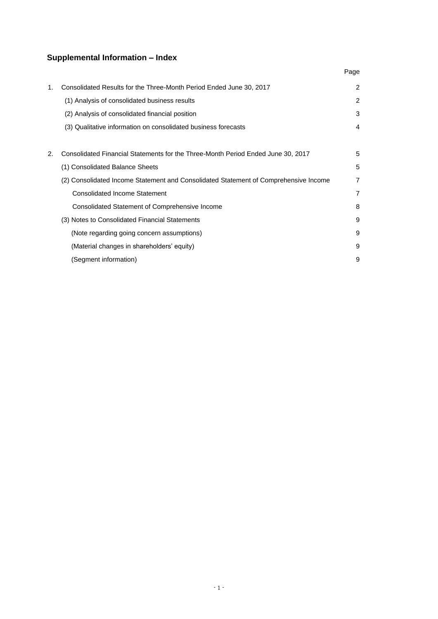# **Supplemental Information – Index**

|    |                                                                                      | Page |
|----|--------------------------------------------------------------------------------------|------|
| 1. | Consolidated Results for the Three-Month Period Ended June 30, 2017                  | 2    |
|    | (1) Analysis of consolidated business results                                        | 2    |
|    | (2) Analysis of consolidated financial position                                      | 3    |
|    | (3) Qualitative information on consolidated business forecasts                       | 4    |
|    |                                                                                      |      |
| 2. | Consolidated Financial Statements for the Three-Month Period Ended June 30, 2017     | 5    |
|    | (1) Consolidated Balance Sheets                                                      | 5    |
|    | (2) Consolidated Income Statement and Consolidated Statement of Comprehensive Income | 7    |
|    | <b>Consolidated Income Statement</b>                                                 | 7    |
|    | Consolidated Statement of Comprehensive Income                                       | 8    |
|    | (3) Notes to Consolidated Financial Statements                                       | 9    |
|    | (Note regarding going concern assumptions)                                           | 9    |
|    | (Material changes in shareholders' equity)                                           | 9    |
|    | (Segment information)                                                                | 9    |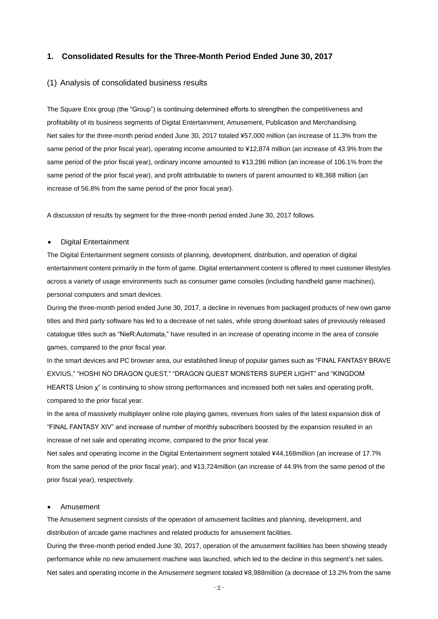#### **1. Consolidated Results for the Three-Month Period Ended June 30, 2017**

#### (1) Analysis of consolidated business results

The Square Enix group (the "Group") is continuing determined efforts to strengthen the competitiveness and profitability of its business segments of Digital Entertainment, Amusement, Publication and Merchandising. Net sales for the three-month period ended June 30, 2017 totaled ¥57,000 million (an increase of 11.3% from the same period of the prior fiscal year), operating income amounted to ¥12,874 million (an increase of 43.9% from the same period of the prior fiscal year), ordinary income amounted to ¥13,286 million (an increase of 106.1% from the same period of the prior fiscal year), and profit attributable to owners of parent amounted to ¥8,368 million (an increase of 56.8% from the same period of the prior fiscal year).

A discussion of results by segment for the three-month period ended June 30, 2017 follows.

#### Digital Entertainment

The Digital Entertainment segment consists of planning, development, distribution, and operation of digital entertainment content primarily in the form of game. Digital entertainment content is offered to meet customer lifestyles across a variety of usage environments such as consumer game consoles (including handheld game machines), personal computers and smart devices.

During the three-month period ended June 30, 2017, a decline in revenues from packaged products of new own game titles and third party software has led to a decrease of net sales, while strong download sales of previously released catalogue titles such as "NieR:Automata," have resulted in an increase of operating income in the area of console games, compared to the prior fiscal year.

In the smart devices and PC browser area, our established lineup of popular games such as "FINAL FANTASY BRAVE EXVIUS," "HOSHI NO DRAGON QUEST," "DRAGON QUEST MONSTERS SUPER LIGHT" and "KINGDOM HEARTS Union χ" is continuing to show strong performances and increased both net sales and operating profit, compared to the prior fiscal year.

In the area of massively multiplayer online role playing games, revenues from sales of the latest expansion disk of "FINAL FANTASY XIV" and increase of number of monthly subscribers boosted by the expansion resulted in an increase of net sale and operating income, compared to the prior fiscal year.

Net sales and operating income in the Digital Entertainment segment totaled ¥44,168million (an increase of 17.7% from the same period of the prior fiscal year), and ¥13,724million (an increase of 44.9% from the same period of the prior fiscal year), respectively.

#### Amusement

The Amusement segment consists of the operation of amusement facilities and planning, development, and distribution of arcade game machines and related products for amusement facilities.

During the three-month period ended June 30, 2017, operation of the amusement facilities has been showing steady performance while no new amusement machine was launched, which led to the decline in this segment's net sales. Net sales and operating income in the Amusement segment totaled ¥8,988million (a decrease of 13.2% from the same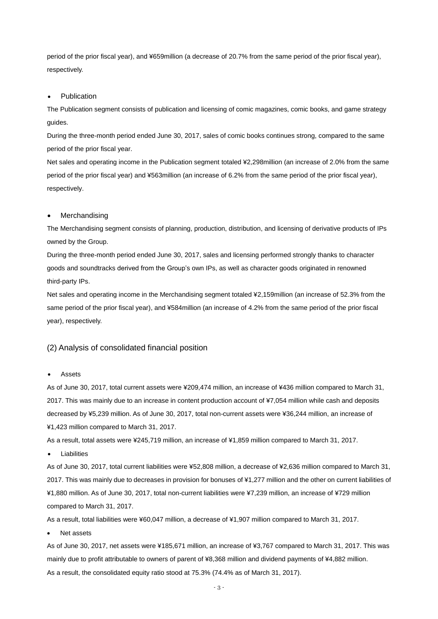period of the prior fiscal year), and ¥659million (a decrease of 20.7% from the same period of the prior fiscal year), respectively.

#### Publication

The Publication segment consists of publication and licensing of comic magazines, comic books, and game strategy guides.

During the three-month period ended June 30, 2017, sales of comic books continues strong, compared to the same period of the prior fiscal year.

Net sales and operating income in the Publication segment totaled ¥2,298million (an increase of 2.0% from the same period of the prior fiscal year) and ¥563million (an increase of 6.2% from the same period of the prior fiscal year), respectively.

#### Merchandising

The Merchandising segment consists of planning, production, distribution, and licensing of derivative products of IPs owned by the Group.

During the three-month period ended June 30, 2017, sales and licensing performed strongly thanks to character goods and soundtracks derived from the Group's own IPs, as well as character goods originated in renowned third-party IPs.

Net sales and operating income in the Merchandising segment totaled ¥2,159million (an increase of 52.3% from the same period of the prior fiscal year), and ¥584million (an increase of 4.2% from the same period of the prior fiscal year), respectively.

#### (2) Analysis of consolidated financial position

#### Assets

As of June 30, 2017, total current assets were ¥209,474 million, an increase of ¥436 million compared to March 31, 2017. This was mainly due to an increase in content production account of ¥7,054 million while cash and deposits decreased by ¥5,239 million. As of June 30, 2017, total non-current assets were ¥36,244 million, an increase of ¥1,423 million compared to March 31, 2017.

As a result, total assets were ¥245,719 million, an increase of ¥1,859 million compared to March 31, 2017.

Liabilities

As of June 30, 2017, total current liabilities were ¥52,808 million, a decrease of ¥2,636 million compared to March 31, 2017. This was mainly due to decreases in provision for bonuses of ¥1,277 million and the other on current liabilities of ¥1,880 million. As of June 30, 2017, total non-current liabilities were ¥7,239 million, an increase of ¥729 million compared to March 31, 2017.

As a result, total liabilities were ¥60,047 million, a decrease of ¥1,907 million compared to March 31, 2017.

Net assets

As of June 30, 2017, net assets were ¥185,671 million, an increase of ¥3,767 compared to March 31, 2017. This was mainly due to profit attributable to owners of parent of ¥8,368 million and dividend payments of ¥4,882 million. As a result, the consolidated equity ratio stood at 75.3% (74.4% as of March 31, 2017).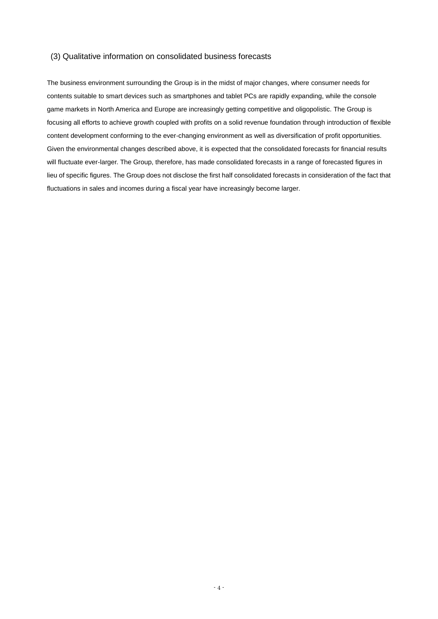#### (3) Qualitative information on consolidated business forecasts

The business environment surrounding the Group is in the midst of major changes, where consumer needs for contents suitable to smart devices such as smartphones and tablet PCs are rapidly expanding, while the console game markets in North America and Europe are increasingly getting competitive and oligopolistic. The Group is focusing all efforts to achieve growth coupled with profits on a solid revenue foundation through introduction of flexible content development conforming to the ever-changing environment as well as diversification of profit opportunities. Given the environmental changes described above, it is expected that the consolidated forecasts for financial results will fluctuate ever-larger. The Group, therefore, has made consolidated forecasts in a range of forecasted figures in lieu of specific figures. The Group does not disclose the first half consolidated forecasts in consideration of the fact that fluctuations in sales and incomes during a fiscal year have increasingly become larger.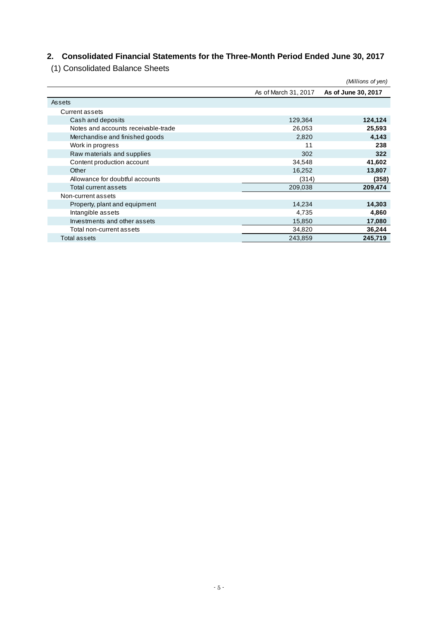# **2. Consolidated Financial Statements for the Three-Month Period Ended June 30, 2017**

(1) Consolidated Balance Sheets

|                                     |                      | (Millions of yen)   |
|-------------------------------------|----------------------|---------------------|
|                                     | As of March 31, 2017 | As of June 30, 2017 |
| Assets                              |                      |                     |
| <b>Current assets</b>               |                      |                     |
| Cash and deposits                   | 129,364              | 124,124             |
| Notes and accounts receivable-trade | 26,053               | 25,593              |
| Merchandise and finished goods      | 2,820                | 4,143               |
| Work in progress                    | 11                   | 238                 |
| Raw materials and supplies          | 302                  | 322                 |
| Content production account          | 34,548               | 41,602              |
| Other                               | 16,252               | 13,807              |
| Allowance for doubtful accounts     | (314)                | (358)               |
| Total current assets                | 209,038              | 209,474             |
| Non-current assets                  |                      |                     |
| Property, plant and equipment       | 14,234               | 14,303              |
| Intangible assets                   | 4,735                | 4,860               |
| Investments and other assets        | 15,850               | 17,080              |
| Total non-current assets            | 34,820               | 36,244              |
| Total assets                        | 243,859              | 245,719             |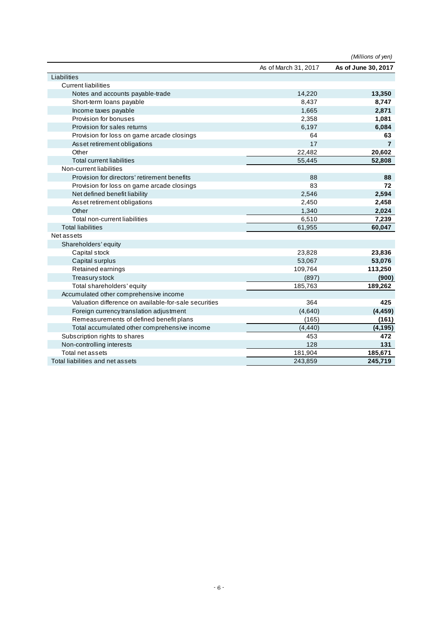|                                                       |                      | (Millions of yen)   |
|-------------------------------------------------------|----------------------|---------------------|
|                                                       | As of March 31, 2017 | As of June 30, 2017 |
| Liabilities                                           |                      |                     |
| <b>Current liabilities</b>                            |                      |                     |
| Notes and accounts payable-trade                      | 14,220               | 13,350              |
| Short-term loans payable                              | 8,437                | 8,747               |
| Income taxes payable                                  | 1,665                | 2,871               |
| Provision for bonuses                                 | 2,358                | 1,081               |
| Provision for sales returns                           | 6,197                | 6,084               |
| Provision for loss on game arcade closings            | 64                   | 63                  |
| Asset retirement obligations                          | 17                   | $\overline{7}$      |
| Other                                                 | 22,482               | 20,602              |
| <b>Total current liabilities</b>                      | 55,445               | 52,808              |
| Non-current liabilities                               |                      |                     |
| Provision for directors' retirement benefits          | 88                   | 88                  |
| Provision for loss on game arcade closings            | 83                   | 72                  |
| Net defined benefit liability                         | 2.546                | 2,594               |
| Asset retirement obligations                          | 2,450                | 2,458               |
| Other                                                 | 1,340                | 2,024               |
| Total non-current liabilities                         | 6,510                | 7,239               |
| <b>Total liabilities</b>                              | 61,955               | 60,047              |
| Net assets                                            |                      |                     |
| Shareholders' equity                                  |                      |                     |
| Capital stock                                         | 23,828               | 23,836              |
| Capital surplus                                       | 53,067               | 53,076              |
| Retained earnings                                     | 109,764              | 113,250             |
| Treasury stock                                        | (897)                | (900)               |
| Total shareholders' equity                            | 185,763              | 189,262             |
| Accumulated other comprehensive income                |                      |                     |
| Valuation difference on available-for-sale securities | 364                  | 425                 |
| Foreign currency translation adjustment               | (4,640)              | (4, 459)            |
| Remeasurements of defined benefit plans               | (165)                | (161)               |
| Total accumulated other comprehensive income          | (4, 440)             | (4, 195)            |
| Subscription rights to shares                         | 453                  | 472                 |
| Non-controlling interests                             | 128                  | 131                 |
| Total net assets                                      | 181,904              | 185,671             |
| Total liabilities and net assets                      | 243,859              | 245,719             |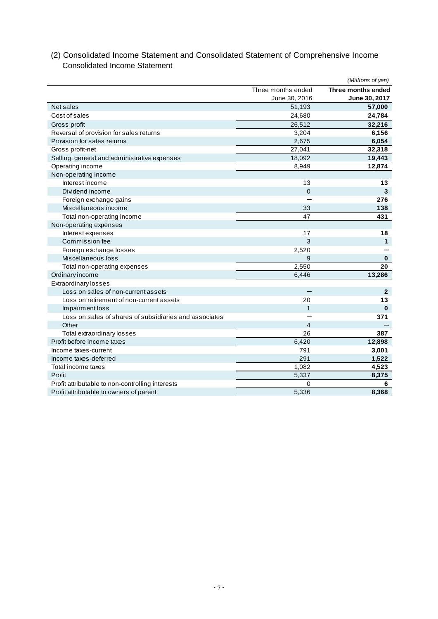|                                                        |                    | (Millions of yen)  |
|--------------------------------------------------------|--------------------|--------------------|
|                                                        | Three months ended | Three months ended |
|                                                        | June 30, 2016      | June 30, 2017      |
| Net sales                                              | 51,193             | 57,000             |
| Cost of sales                                          | 24,680             | 24,784             |
| Gross profit                                           | 26,512             | 32,216             |
| Reversal of provision for sales returns                | 3,204              | 6,156              |
| Provision for sales returns                            | 2,675              | 6,054              |
| Gross profit-net                                       | 27,041             | 32,318             |
| Selling, general and administrative expenses           | 18,092             | 19,443             |
| Operating income                                       | 8,949              | 12,874             |
| Non-operating income                                   |                    |                    |
| Interest income                                        | 13                 | 13                 |
| Dividend income                                        | $\overline{0}$     | 3                  |
| Foreign exchange gains                                 |                    | 276                |
| Miscellaneous income                                   | 33                 | 138                |
| Total non-operating income                             | 47                 | 431                |
| Non-operating expenses                                 |                    |                    |
| Interest expenses                                      | 17                 | 18                 |
| Commission fee                                         | 3                  | $\mathbf{1}$       |
| Foreign exchange losses                                | 2,520              |                    |
| Miscellaneous loss                                     | 9                  | $\bf{0}$           |
| Total non-operating expenses                           | 2,550              | 20                 |
| Ordinary income                                        | 6,446              | 13,286             |
| Extraordinary losses                                   |                    |                    |
| Loss on sales of non-current assets                    |                    | $\mathbf{2}$       |
| Loss on retirement of non-current assets               | 20                 | 13                 |
| Impairment loss                                        | $\mathbf{1}$       | $\mathbf{0}$       |
| Loss on sales of shares of subsidiaries and associates |                    | 371                |
| Other                                                  | $\overline{4}$     |                    |
| Total extraordinary losses                             | 26                 | 387                |
| Profit before income taxes                             | 6,420              | 12,898             |
| Income taxes-current                                   | 791                | 3,001              |
| Income taxes-deferred                                  | 291                | 1,522              |
| Total income taxes                                     | 1,082              | 4,523              |
| Profit                                                 | 5,337              | 8,375              |
| Profit attributable to non-controlling interests       | 0                  | 6                  |
| Profit attributable to owners of parent                | 5,336              | 8,368              |

## (2) Consolidated Income Statement and Consolidated Statement of Comprehensive Income Consolidated Income Statement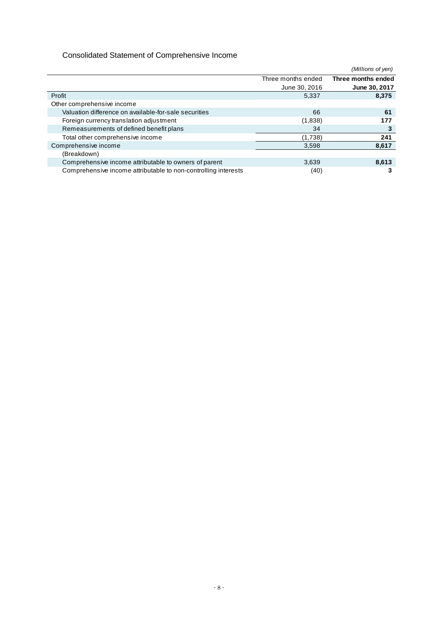# Consolidated Statement of Comprehensive Income

|                                                                |                    | (Millions of yen)  |
|----------------------------------------------------------------|--------------------|--------------------|
|                                                                | Three months ended | Three months ended |
|                                                                | June 30, 2016      | June 30, 2017      |
| Profit                                                         | 5,337              | 8,375              |
| Other comprehensive income                                     |                    |                    |
| Valuation difference on available-for-sale securities          | 66                 | 61                 |
| Foreign currency translation adjustment                        | (1,838)            | 177                |
| Remeasurements of defined benefit plans                        | 34                 |                    |
| Total other comprehensive income                               | (1,738)            | 241                |
| Comprehensive income                                           | 3,598              | 8,617              |
| (Breakdown)                                                    |                    |                    |
| Comprehensive income attributable to owners of parent          | 3,639              | 8,613              |
| Comprehensive income attributable to non-controlling interests | (40)               |                    |